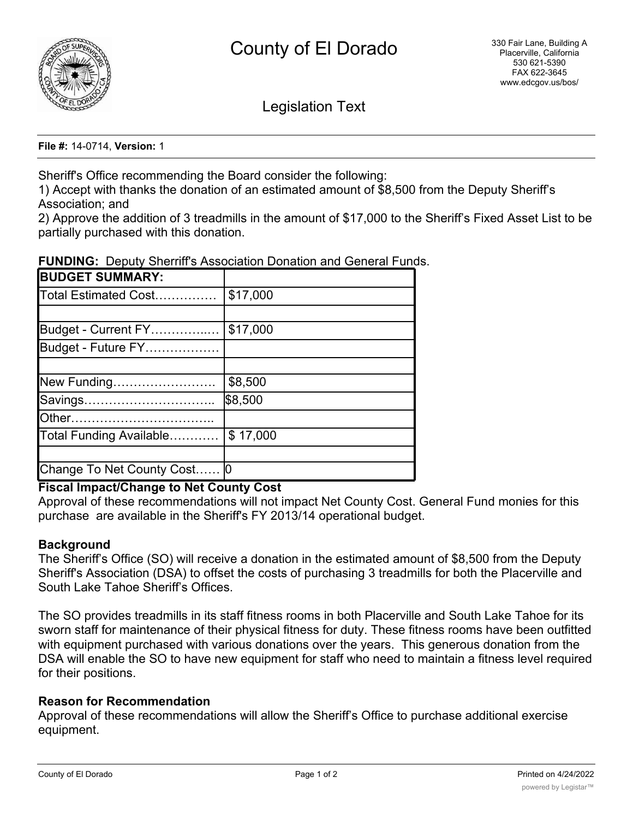

Legislation Text

**File #:** 14-0714, **Version:** 1

Sheriff's Office recommending the Board consider the following:

1) Accept with thanks the donation of an estimated amount of \$8,500 from the Deputy Sheriff's Association; and

2) Approve the addition of 3 treadmills in the amount of \$17,000 to the Sheriff's Fixed Asset List to be partially purchased with this donation.

| <b>BUDGET SUMMARY:</b>      |          |
|-----------------------------|----------|
| Total Estimated Cost        | \$17,000 |
|                             |          |
| Budget - Current FY         | \$17,000 |
| Budget - Future FY          |          |
|                             |          |
| New Funding                 | \$8,500  |
| Savings                     | \$8,500  |
|                             |          |
| Total Funding Available     | \$17,000 |
|                             |          |
| Change To Net County Cost 0 |          |

**FUNDING:** Deputy Sherriff's Association Donation and General Funds.

## **Fiscal Impact/Change to Net County Cost**

Approval of these recommendations will not impact Net County Cost. General Fund monies for this purchase are available in the Sheriff's FY 2013/14 operational budget.

## **Background**

The Sheriff's Office (SO) will receive a donation in the estimated amount of \$8,500 from the Deputy Sheriff's Association (DSA) to offset the costs of purchasing 3 treadmills for both the Placerville and South Lake Tahoe Sheriff's Offices.

The SO provides treadmills in its staff fitness rooms in both Placerville and South Lake Tahoe for its sworn staff for maintenance of their physical fitness for duty. These fitness rooms have been outfitted with equipment purchased with various donations over the years. This generous donation from the DSA will enable the SO to have new equipment for staff who need to maintain a fitness level required for their positions.

## **Reason for Recommendation**

Approval of these recommendations will allow the Sheriff's Office to purchase additional exercise equipment.